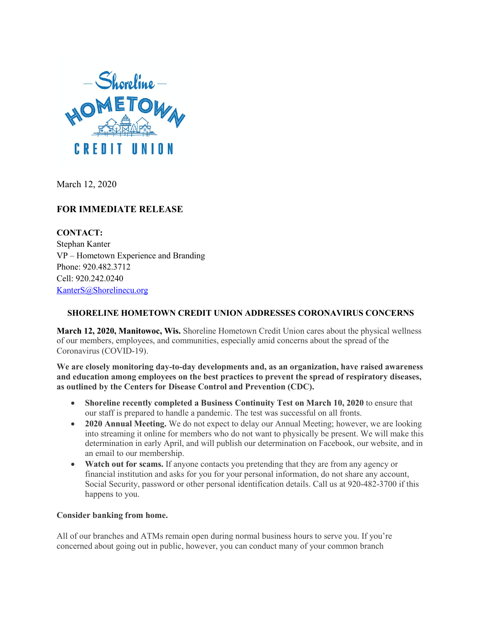

March 12, 2020

# **FOR IMMEDIATE RELEASE**

**CONTACT:** Stephan Kanter VP – Hometown Experience and Branding Phone: 920.482.3712 Cell: 920.242.0240 [KanterS@Shorelinecu.org](mailto:KanterS@Shorelinecu.org)

# **SHORELINE HOMETOWN CREDIT UNION ADDRESSES CORONAVIRUS CONCERNS**

**March 12, 2020, Manitowoc, Wis.** Shoreline Hometown Credit Union cares about the physical wellness of our members, employees, and communities, especially amid concerns about the spread of the Coronavirus (COVID-19).

**We are closely monitoring day-to-day developments and, as an organization, have raised awareness and education among employees on the best practices to prevent the spread of respiratory diseases, as outlined by the Centers for Disease Control and Prevention (CDC).**

- **Shoreline recently completed a Business Continuity Test on March 10, 2020** to ensure that our staff is prepared to handle a pandemic. The test was successful on all fronts.
- **2020 Annual Meeting.** We do not expect to delay our Annual Meeting; however, we are looking into streaming it online for members who do not want to physically be present. We will make this determination in early April, and will publish our determination on Facebook, our website, and in an email to our membership.
- **Watch out for scams.** If anyone contacts you pretending that they are from any agency or financial institution and asks for you for your personal information, do not share any account, Social Security, password or other personal identification details. Call us at 920-482-3700 if this happens to you.

# **Consider banking from home.**

All of our branches and ATMs remain open during normal business hours to serve you. If you're concerned about going out in public, however, you can conduct many of your common branch